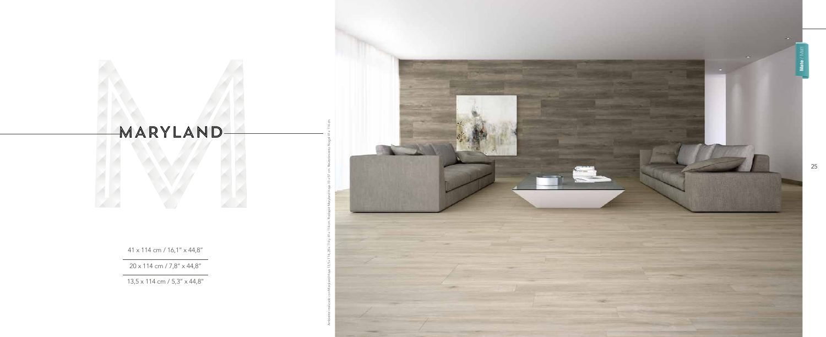41 x 114 cm / 16,1'' x 44,8''

20 x 114 cm / 7,8" x 44,8"



13,5 x 114 cm / 5,3'' x 44,8''

## MARYLAND

Ambiente realizado con Maryland Haya 13,5 x 114, 20 x 114 y 41 x 114 cm. Rodapié Maryland Haya 10 x 57 cm. Revestimiento Nogal 41 x 114 cm.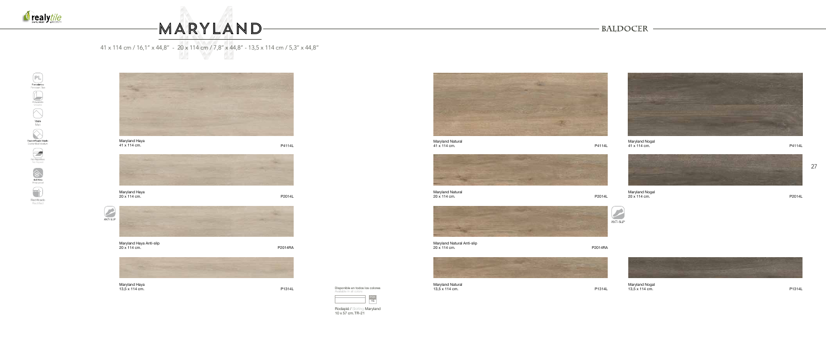27





# MARYLAND

#### 41 x 114 cm / 16,1'' x 44,8'' - 20 x 114 cm / 7,8'' x 44,8'' - 13,5 x 114 cm / 5,3'' x 44,8"

Maryland Natural 20 x 114 cm. P2014L 20 x 114 cm. 20 x 114 cm. 20 x 114 cm. P2014L 20 x 114 cm. P2014L 20 x 114 cm. P2014L 20 x 114 cm.



Maryland Natural Anti-slip 20 x 114 cm.



Maryland Haya 41 x 114 cm.



Maryland Natural 41 x 114 cm. P4114L 41 x 114 cm. 41 x 114 cm. 41 x 114 cm.



Maryland Nogal 20 x 114 cm.



 $\begin{array}{c}\n\hline\n\end{array}$   $\begin{array}{c}\n\hline\n\end{array}$   $\begin{array}{c}\n\hline\n\end{array}$   $\begin{array}{c}\n\hline\n\end{array}$ 



Maryland Haya Anti-slip 20 x 114 cm.

> Maryland Natural 13,5 x 114 cm.

#### **BALDOCER**





Maryland Nogal 13,5 x 114 cm.

Maryland Haya 13,5 x 114 cm.



P2014L

P2014RA





Maryland Nogal P4114L P4114L

P2014RA



PCK 15